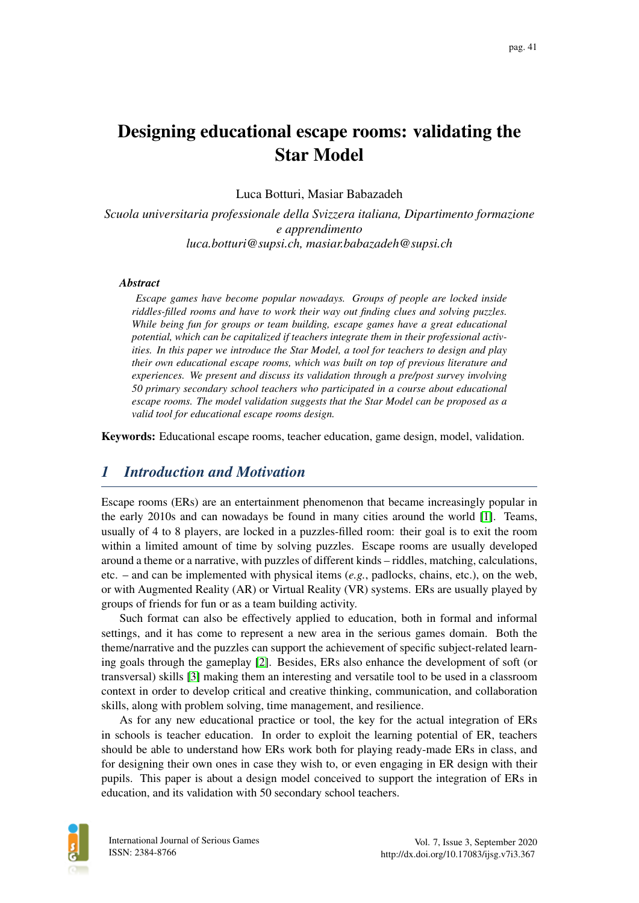# Designing educational escape rooms: validating the Star Model

Luca Botturi, Masiar Babazadeh

*Scuola universitaria professionale della Svizzera italiana, Dipartimento formazione e apprendimento luca.botturi@supsi.ch, masiar.babazadeh@supsi.ch*

#### *Abstract*

*Escape games have become popular nowadays. Groups of people are locked inside riddles-filled rooms and have to work their way out finding clues and solving puzzles. While being fun for groups or team building, escape games have a great educational potential, which can be capitalized if teachers integrate them in their professional activities. In this paper we introduce the Star Model, a tool for teachers to design and play their own educational escape rooms, which was built on top of previous literature and experiences. We present and discuss its validation through a pre/post survey involving 50 primary secondary school teachers who participated in a course about educational escape rooms. The model validation suggests that the Star Model can be proposed as a valid tool for educational escape rooms design.*

Keywords: Educational escape rooms, teacher education, game design, model, validation.

## *1 Introduction and Motivation*

Escape rooms (ERs) are an entertainment phenomenon that became increasingly popular in the early 2010s and can nowadays be found in many cities around the world [\[1\]](#page-12-0). Teams, usually of 4 to 8 players, are locked in a puzzles-filled room: their goal is to exit the room within a limited amount of time by solving puzzles. Escape rooms are usually developed around a theme or a narrative, with puzzles of different kinds – riddles, matching, calculations, etc. – and can be implemented with physical items (*e.g.*, padlocks, chains, etc.), on the web, or with Augmented Reality (AR) or Virtual Reality (VR) systems. ERs are usually played by groups of friends for fun or as a team building activity.

Such format can also be effectively applied to education, both in formal and informal settings, and it has come to represent a new area in the serious games domain. Both the theme/narrative and the puzzles can support the achievement of specific subject-related learning goals through the gameplay [\[2\]](#page-12-1). Besides, ERs also enhance the development of soft (or transversal) skills [\[3\]](#page-12-2) making them an interesting and versatile tool to be used in a classroom context in order to develop critical and creative thinking, communication, and collaboration skills, along with problem solving, time management, and resilience.

As for any new educational practice or tool, the key for the actual integration of ERs in schools is teacher education. In order to exploit the learning potential of ER, teachers should be able to understand how ERs work both for playing ready-made ERs in class, and for designing their own ones in case they wish to, or even engaging in ER design with their pupils. This paper is about a design model conceived to support the integration of ERs in education, and its validation with 50 secondary school teachers.

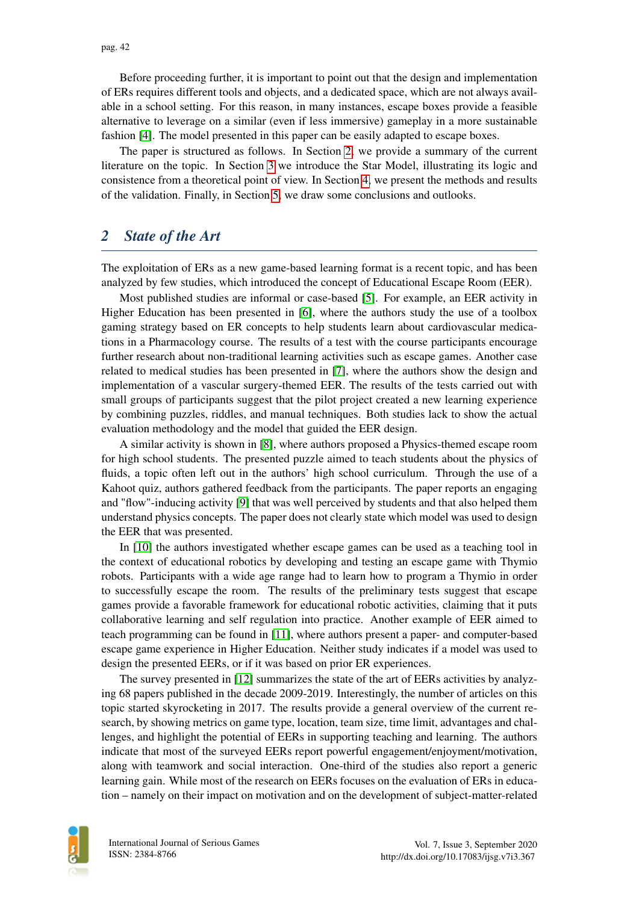Before proceeding further, it is important to point out that the design and implementation of ERs requires different tools and objects, and a dedicated space, which are not always available in a school setting. For this reason, in many instances, escape boxes provide a feasible alternative to leverage on a similar (even if less immersive) gameplay in a more sustainable fashion [\[4\]](#page-12-3). The model presented in this paper can be easily adapted to escape boxes.

The paper is structured as follows. In Section [2,](#page-1-0) we provide a summary of the current literature on the topic. In Section [3](#page-2-0) we introduce the Star Model, illustrating its logic and consistence from a theoretical point of view. In Section [4,](#page-6-0) we present the methods and results of the validation. Finally, in Section [5,](#page-10-0) we draw some conclusions and outlooks.

### <span id="page-1-0"></span>*2 State of the Art*

The exploitation of ERs as a new game-based learning format is a recent topic, and has been analyzed by few studies, which introduced the concept of Educational Escape Room (EER).

Most published studies are informal or case-based [\[5\]](#page-12-4). For example, an EER activity in Higher Education has been presented in [\[6\]](#page-12-5), where the authors study the use of a toolbox gaming strategy based on ER concepts to help students learn about cardiovascular medications in a Pharmacology course. The results of a test with the course participants encourage further research about non-traditional learning activities such as escape games. Another case related to medical studies has been presented in [\[7\]](#page-12-6), where the authors show the design and implementation of a vascular surgery-themed EER. The results of the tests carried out with small groups of participants suggest that the pilot project created a new learning experience by combining puzzles, riddles, and manual techniques. Both studies lack to show the actual evaluation methodology and the model that guided the EER design.

A similar activity is shown in [\[8\]](#page-12-7), where authors proposed a Physics-themed escape room for high school students. The presented puzzle aimed to teach students about the physics of fluids, a topic often left out in the authors' high school curriculum. Through the use of a Kahoot quiz, authors gathered feedback from the participants. The paper reports an engaging and "flow"-inducing activity [\[9\]](#page-12-8) that was well perceived by students and that also helped them understand physics concepts. The paper does not clearly state which model was used to design the EER that was presented.

In [\[10\]](#page-12-9) the authors investigated whether escape games can be used as a teaching tool in the context of educational robotics by developing and testing an escape game with Thymio robots. Participants with a wide age range had to learn how to program a Thymio in order to successfully escape the room. The results of the preliminary tests suggest that escape games provide a favorable framework for educational robotic activities, claiming that it puts collaborative learning and self regulation into practice. Another example of EER aimed to teach programming can be found in [\[11\]](#page-12-10), where authors present a paper- and computer-based escape game experience in Higher Education. Neither study indicates if a model was used to design the presented EERs, or if it was based on prior ER experiences.

The survey presented in [\[12\]](#page-12-11) summarizes the state of the art of EERs activities by analyzing 68 papers published in the decade 2009-2019. Interestingly, the number of articles on this topic started skyrocketing in 2017. The results provide a general overview of the current research, by showing metrics on game type, location, team size, time limit, advantages and challenges, and highlight the potential of EERs in supporting teaching and learning. The authors indicate that most of the surveyed EERs report powerful engagement/enjoyment/motivation, along with teamwork and social interaction. One-third of the studies also report a generic learning gain. While most of the research on EERs focuses on the evaluation of ERs in education – namely on their impact on motivation and on the development of subject-matter-related

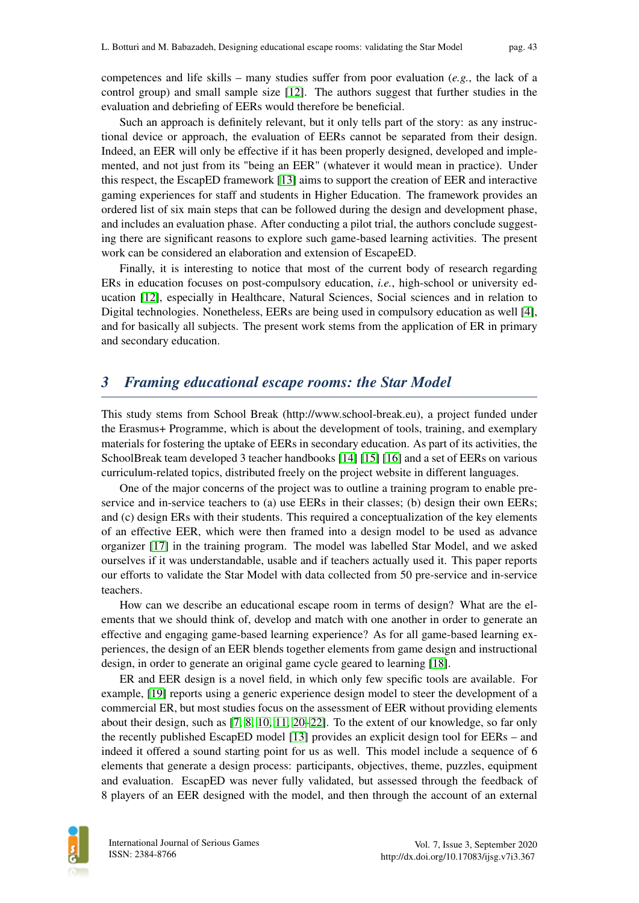competences and life skills – many studies suffer from poor evaluation (*e.g.*, the lack of a control group) and small sample size [\[12\]](#page-12-11). The authors suggest that further studies in the evaluation and debriefing of EERs would therefore be beneficial.

Such an approach is definitely relevant, but it only tells part of the story: as any instructional device or approach, the evaluation of EERs cannot be separated from their design. Indeed, an EER will only be effective if it has been properly designed, developed and implemented, and not just from its "being an EER" (whatever it would mean in practice). Under this respect, the EscapED framework [\[13\]](#page-12-12) aims to support the creation of EER and interactive gaming experiences for staff and students in Higher Education. The framework provides an ordered list of six main steps that can be followed during the design and development phase, and includes an evaluation phase. After conducting a pilot trial, the authors conclude suggesting there are significant reasons to explore such game-based learning activities. The present work can be considered an elaboration and extension of EscapeED.

Finally, it is interesting to notice that most of the current body of research regarding ERs in education focuses on post-compulsory education, *i.e.*, high-school or university education [\[12\]](#page-12-11), especially in Healthcare, Natural Sciences, Social sciences and in relation to Digital technologies. Nonetheless, EERs are being used in compulsory education as well [\[4\]](#page-12-3), and for basically all subjects. The present work stems from the application of ER in primary and secondary education.

## <span id="page-2-0"></span>*3 Framing educational escape rooms: the Star Model*

This study stems from School Break (http://www.school-break.eu), a project funded under the Erasmus+ Programme, which is about the development of tools, training, and exemplary materials for fostering the uptake of EERs in secondary education. As part of its activities, the SchoolBreak team developed 3 teacher handbooks [\[14\]](#page-12-13) [\[15\]](#page-12-14) [\[16\]](#page-13-0) and a set of EERs on various curriculum-related topics, distributed freely on the project website in different languages.

One of the major concerns of the project was to outline a training program to enable preservice and in-service teachers to (a) use EERs in their classes; (b) design their own EERs; and (c) design ERs with their students. This required a conceptualization of the key elements of an effective EER, which were then framed into a design model to be used as advance organizer [\[17\]](#page-13-1) in the training program. The model was labelled Star Model, and we asked ourselves if it was understandable, usable and if teachers actually used it. This paper reports our efforts to validate the Star Model with data collected from 50 pre-service and in-service teachers.

How can we describe an educational escape room in terms of design? What are the elements that we should think of, develop and match with one another in order to generate an effective and engaging game-based learning experience? As for all game-based learning experiences, the design of an EER blends together elements from game design and instructional design, in order to generate an original game cycle geared to learning [\[18\]](#page-13-2).

ER and EER design is a novel field, in which only few specific tools are available. For example, [\[19\]](#page-13-3) reports using a generic experience design model to steer the development of a commercial ER, but most studies focus on the assessment of EER without providing elements about their design, such as [\[7,](#page-12-6) [8,](#page-12-7) [10,](#page-12-9) [11,](#page-12-10) [20](#page-13-4)[–22\]](#page-13-5). To the extent of our knowledge, so far only the recently published EscapED model [\[13\]](#page-12-12) provides an explicit design tool for EERs – and indeed it offered a sound starting point for us as well. This model include a sequence of 6 elements that generate a design process: participants, objectives, theme, puzzles, equipment and evaluation. EscapED was never fully validated, but assessed through the feedback of 8 players of an EER designed with the model, and then through the account of an external

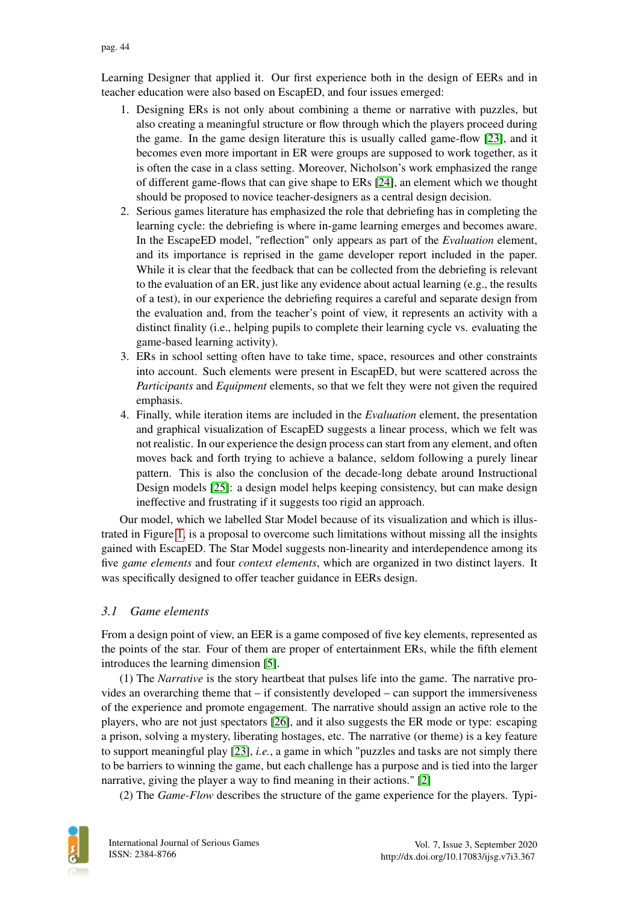Learning Designer that applied it. Our first experience both in the design of EERs and in teacher education were also based on EscapED, and four issues emerged:

- 1. Designing ERs is not only about combining a theme or narrative with puzzles, but also creating a meaningful structure or flow through which the players proceed during the game. In the game design literature this is usually called game-flow [\[23\]](#page-13-6), and it becomes even more important in ER were groups are supposed to work together, as it is often the case in a class setting. Moreover, Nicholson's work emphasized the range of different game-flows that can give shape to ERs [\[24\]](#page-13-7), an element which we thought should be proposed to novice teacher-designers as a central design decision.
- 2. Serious games literature has emphasized the role that debriefing has in completing the learning cycle: the debriefing is where in-game learning emerges and becomes aware. In the EscapeED model, "reflection" only appears as part of the *Evaluation* element, and its importance is reprised in the game developer report included in the paper. While it is clear that the feedback that can be collected from the debriefing is relevant to the evaluation of an ER, just like any evidence about actual learning (e.g., the results of a test), in our experience the debriefing requires a careful and separate design from the evaluation and, from the teacher's point of view, it represents an activity with a distinct finality (i.e., helping pupils to complete their learning cycle vs. evaluating the game-based learning activity).
- 3. ERs in school setting often have to take time, space, resources and other constraints into account. Such elements were present in EscapED, but were scattered across the *Participants* and *Equipment* elements, so that we felt they were not given the required emphasis.
- 4. Finally, while iteration items are included in the *Evaluation* element, the presentation and graphical visualization of EscapED suggests a linear process, which we felt was not realistic. In our experience the design process can start from any element, and often moves back and forth trying to achieve a balance, seldom following a purely linear pattern. This is also the conclusion of the decade-long debate around Instructional Design models [\[25\]](#page-13-8): a design model helps keeping consistency, but can make design ineffective and frustrating if it suggests too rigid an approach.

Our model, which we labelled Star Model because of its visualization and which is illustrated in Figure [1,](#page-4-0) is a proposal to overcome such limitations without missing all the insights gained with EscapED. The Star Model suggests non-linearity and interdependence among its five *game elements* and four *context elements*, which are organized in two distinct layers. It was specifically designed to offer teacher guidance in EERs design.

#### *3.1 Game elements*

From a design point of view, an EER is a game composed of five key elements, represented as the points of the star. Four of them are proper of entertainment ERs, while the fifth element introduces the learning dimension [\[5\]](#page-12-4).

(1) The *Narrative* is the story heartbeat that pulses life into the game. The narrative provides an overarching theme that – if consistently developed – can support the immersiveness of the experience and promote engagement. The narrative should assign an active role to the players, who are not just spectators [\[26\]](#page-13-9), and it also suggests the ER mode or type: escaping a prison, solving a mystery, liberating hostages, etc. The narrative (or theme) is a key feature to support meaningful play [\[23\]](#page-13-6), *i.e.*, a game in which "puzzles and tasks are not simply there to be barriers to winning the game, but each challenge has a purpose and is tied into the larger narrative, giving the player a way to find meaning in their actions." [\[2\]](#page-12-1)

(2) The *Game-Flow* describes the structure of the game experience for the players. Typi-

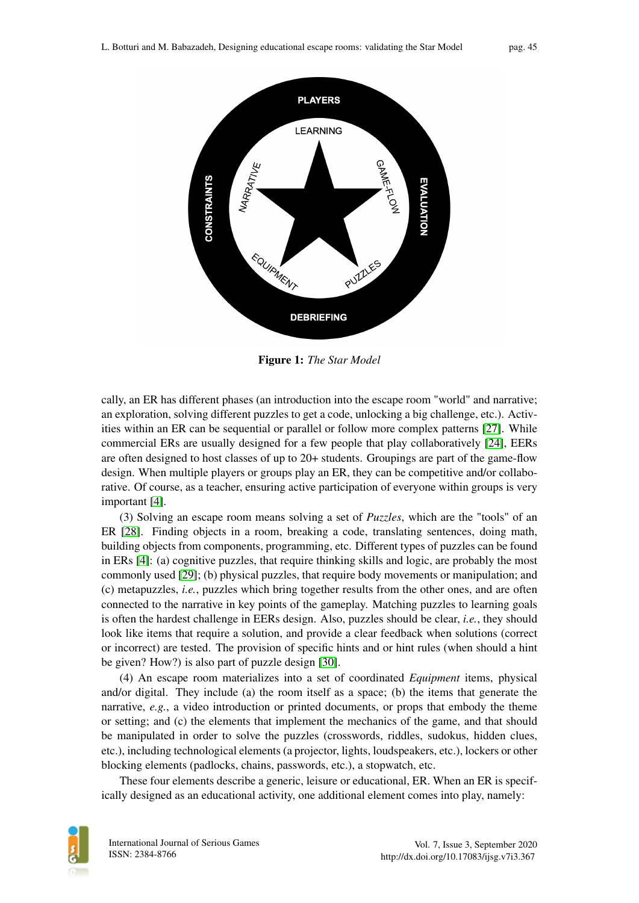<span id="page-4-0"></span>

Figure 1: *The Star Model*

cally, an ER has different phases (an introduction into the escape room "world" and narrative; an exploration, solving different puzzles to get a code, unlocking a big challenge, etc.). Activities within an ER can be sequential or parallel or follow more complex patterns [\[27\]](#page-13-10). While commercial ERs are usually designed for a few people that play collaboratively [\[24\]](#page-13-7), EERs are often designed to host classes of up to 20+ students. Groupings are part of the game-flow design. When multiple players or groups play an ER, they can be competitive and/or collaborative. Of course, as a teacher, ensuring active participation of everyone within groups is very important [\[4\]](#page-12-3).

(3) Solving an escape room means solving a set of *Puzzles*, which are the "tools" of an ER [\[28\]](#page-13-11). Finding objects in a room, breaking a code, translating sentences, doing math, building objects from components, programming, etc. Different types of puzzles can be found in ERs [\[4\]](#page-12-3): (a) cognitive puzzles, that require thinking skills and logic, are probably the most commonly used [\[29\]](#page-13-12); (b) physical puzzles, that require body movements or manipulation; and (c) metapuzzles, *i.e.*, puzzles which bring together results from the other ones, and are often connected to the narrative in key points of the gameplay. Matching puzzles to learning goals is often the hardest challenge in EERs design. Also, puzzles should be clear, *i.e.*, they should look like items that require a solution, and provide a clear feedback when solutions (correct or incorrect) are tested. The provision of specific hints and or hint rules (when should a hint be given? How?) is also part of puzzle design [\[30\]](#page-13-13).

(4) An escape room materializes into a set of coordinated *Equipment* items, physical and/or digital. They include (a) the room itself as a space; (b) the items that generate the narrative, *e.g.*, a video introduction or printed documents, or props that embody the theme or setting; and (c) the elements that implement the mechanics of the game, and that should be manipulated in order to solve the puzzles (crosswords, riddles, sudokus, hidden clues, etc.), including technological elements (a projector, lights, loudspeakers, etc.), lockers or other blocking elements (padlocks, chains, passwords, etc.), a stopwatch, etc.

These four elements describe a generic, leisure or educational, ER. When an ER is specifically designed as an educational activity, one additional element comes into play, namely:

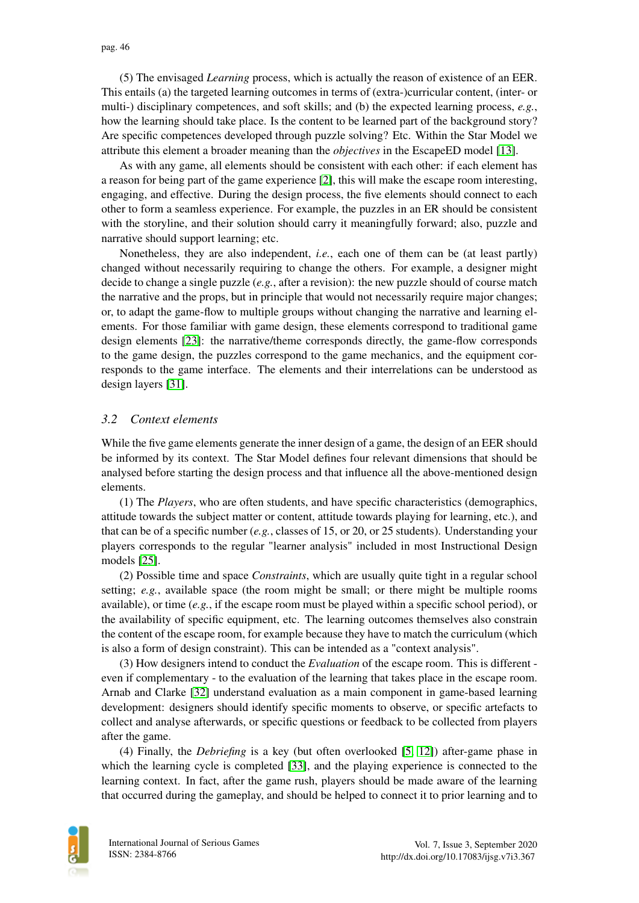(5) The envisaged *Learning* process, which is actually the reason of existence of an EER. This entails (a) the targeted learning outcomes in terms of (extra-)curricular content, (inter- or multi-) disciplinary competences, and soft skills; and (b) the expected learning process, *e.g.*, how the learning should take place. Is the content to be learned part of the background story? Are specific competences developed through puzzle solving? Etc. Within the Star Model we attribute this element a broader meaning than the *objectives* in the EscapeED model [\[13\]](#page-12-12).

As with any game, all elements should be consistent with each other: if each element has a reason for being part of the game experience [\[2\]](#page-12-1), this will make the escape room interesting, engaging, and effective. During the design process, the five elements should connect to each other to form a seamless experience. For example, the puzzles in an ER should be consistent with the storyline, and their solution should carry it meaningfully forward; also, puzzle and narrative should support learning; etc.

Nonetheless, they are also independent, *i.e.*, each one of them can be (at least partly) changed without necessarily requiring to change the others. For example, a designer might decide to change a single puzzle (*e.g.*, after a revision): the new puzzle should of course match the narrative and the props, but in principle that would not necessarily require major changes; or, to adapt the game-flow to multiple groups without changing the narrative and learning elements. For those familiar with game design, these elements correspond to traditional game design elements [\[23\]](#page-13-6): the narrative/theme corresponds directly, the game-flow corresponds to the game design, the puzzles correspond to the game mechanics, and the equipment corresponds to the game interface. The elements and their interrelations can be understood as design layers [\[31\]](#page-13-14).

### *3.2 Context elements*

While the five game elements generate the inner design of a game, the design of an EER should be informed by its context. The Star Model defines four relevant dimensions that should be analysed before starting the design process and that influence all the above-mentioned design elements.

(1) The *Players*, who are often students, and have specific characteristics (demographics, attitude towards the subject matter or content, attitude towards playing for learning, etc.), and that can be of a specific number (*e.g.*, classes of 15, or 20, or 25 students). Understanding your players corresponds to the regular "learner analysis" included in most Instructional Design models [\[25\]](#page-13-8).

(2) Possible time and space *Constraints*, which are usually quite tight in a regular school setting; *e.g.*, available space (the room might be small; or there might be multiple rooms available), or time (*e.g.*, if the escape room must be played within a specific school period), or the availability of specific equipment, etc. The learning outcomes themselves also constrain the content of the escape room, for example because they have to match the curriculum (which is also a form of design constraint). This can be intended as a "context analysis".

(3) How designers intend to conduct the *Evaluation* of the escape room. This is different even if complementary - to the evaluation of the learning that takes place in the escape room. Arnab and Clarke [\[32\]](#page-13-15) understand evaluation as a main component in game-based learning development: designers should identify specific moments to observe, or specific artefacts to collect and analyse afterwards, or specific questions or feedback to be collected from players after the game.

(4) Finally, the *Debriefing* is a key (but often overlooked [\[5,](#page-12-4) [12\]](#page-12-11)) after-game phase in which the learning cycle is completed [\[33\]](#page-13-16), and the playing experience is connected to the learning context. In fact, after the game rush, players should be made aware of the learning that occurred during the gameplay, and should be helped to connect it to prior learning and to

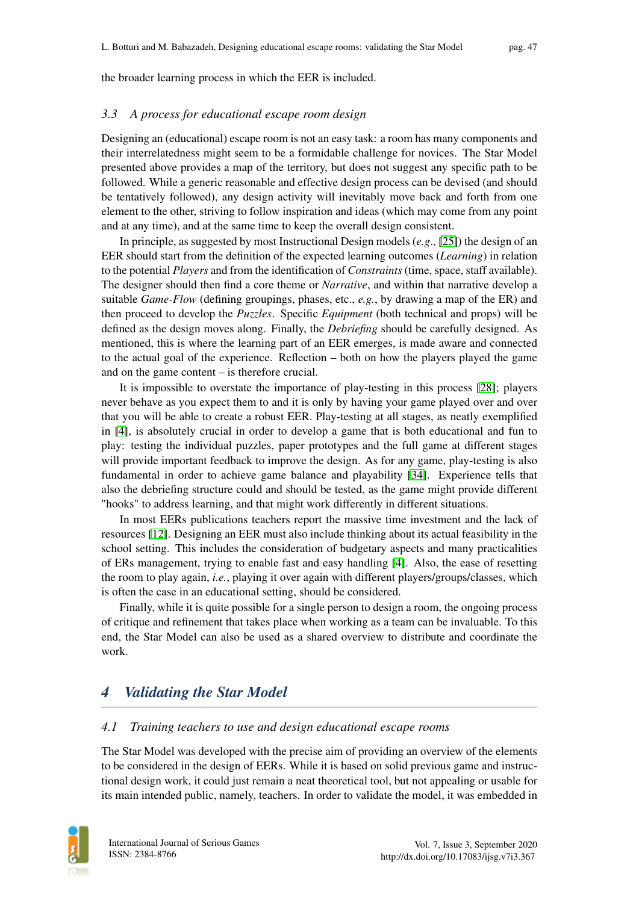the broader learning process in which the EER is included.

#### *3.3 A process for educational escape room design*

Designing an (educational) escape room is not an easy task: a room has many components and their interrelatedness might seem to be a formidable challenge for novices. The Star Model presented above provides a map of the territory, but does not suggest any specific path to be followed. While a generic reasonable and effective design process can be devised (and should be tentatively followed), any design activity will inevitably move back and forth from one element to the other, striving to follow inspiration and ideas (which may come from any point and at any time), and at the same time to keep the overall design consistent.

In principle, as suggested by most Instructional Design models (*e.g*., [\[25\]](#page-13-8)) the design of an EER should start from the definition of the expected learning outcomes (*Learning*) in relation to the potential *Players* and from the identification of *Constraints* (time, space, staff available). The designer should then find a core theme or *Narrative*, and within that narrative develop a suitable *Game-Flow* (defining groupings, phases, etc., *e.g.*, by drawing a map of the ER) and then proceed to develop the *Puzzles*. Specific *Equipment* (both technical and props) will be defined as the design moves along. Finally, the *Debriefing* should be carefully designed. As mentioned, this is where the learning part of an EER emerges, is made aware and connected to the actual goal of the experience. Reflection – both on how the players played the game and on the game content – is therefore crucial.

It is impossible to overstate the importance of play-testing in this process [\[28\]](#page-13-11); players never behave as you expect them to and it is only by having your game played over and over that you will be able to create a robust EER. Play-testing at all stages, as neatly exemplified in [\[4\]](#page-12-3), is absolutely crucial in order to develop a game that is both educational and fun to play: testing the individual puzzles, paper prototypes and the full game at different stages will provide important feedback to improve the design. As for any game, play-testing is also fundamental in order to achieve game balance and playability [\[34\]](#page-13-17). Experience tells that also the debriefing structure could and should be tested, as the game might provide different "hooks" to address learning, and that might work differently in different situations.

In most EERs publications teachers report the massive time investment and the lack of resources [\[12\]](#page-12-11). Designing an EER must also include thinking about its actual feasibility in the school setting. This includes the consideration of budgetary aspects and many practicalities of ERs management, trying to enable fast and easy handling [\[4\]](#page-12-3). Also, the ease of resetting the room to play again, *i.e.*, playing it over again with different players/groups/classes, which is often the case in an educational setting, should be considered.

Finally, while it is quite possible for a single person to design a room, the ongoing process of critique and refinement that takes place when working as a team can be invaluable. To this end, the Star Model can also be used as a shared overview to distribute and coordinate the work.

## <span id="page-6-0"></span>*4 Validating the Star Model*

#### *4.1 Training teachers to use and design educational escape rooms*

The Star Model was developed with the precise aim of providing an overview of the elements to be considered in the design of EERs. While it is based on solid previous game and instructional design work, it could just remain a neat theoretical tool, but not appealing or usable for its main intended public, namely, teachers. In order to validate the model, it was embedded in

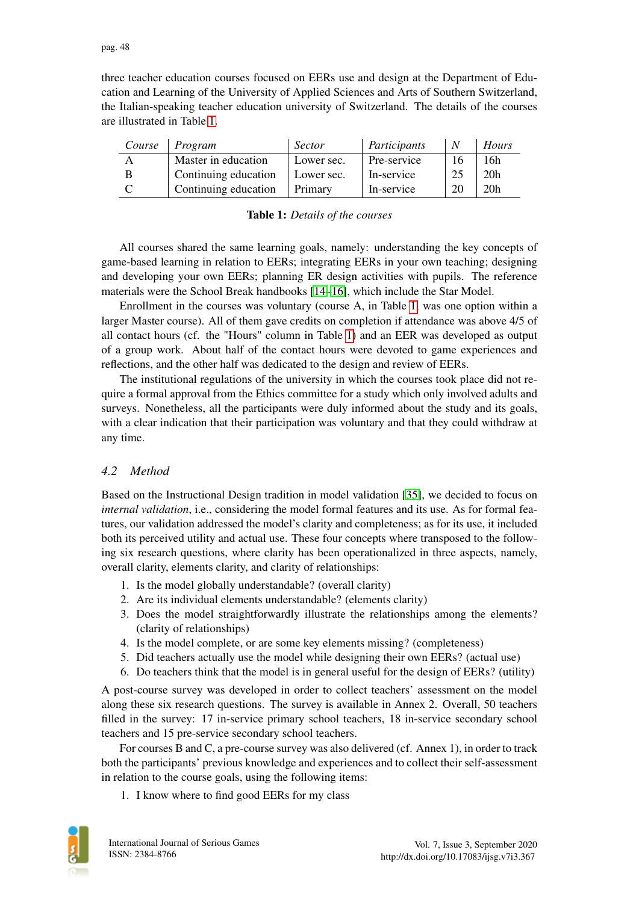three teacher education courses focused on EERs use and design at the Department of Education and Learning of the University of Applied Sciences and Arts of Southern Switzerland, the Italian-speaking teacher education university of Switzerland. The details of the courses are illustrated in Table [1.](#page-7-0)

<span id="page-7-0"></span>

| Course | Program              | Sector     | Participants |    | Hours           |
|--------|----------------------|------------|--------------|----|-----------------|
| A      | Master in education  | Lower sec. | Pre-service  | 16 | ı 6h            |
|        | Continuing education | Lower sec. | In-service   | 25 | 20 <sub>h</sub> |
|        | Continuing education | Primary    | In-service   | 20 | 20 <sub>h</sub> |

| <b>Table 1:</b> Details of the courses |  |  |
|----------------------------------------|--|--|
|----------------------------------------|--|--|

All courses shared the same learning goals, namely: understanding the key concepts of game-based learning in relation to EERs; integrating EERs in your own teaching; designing and developing your own EERs; planning ER design activities with pupils. The reference materials were the School Break handbooks [\[14–](#page-12-13)[16\]](#page-13-0), which include the Star Model.

Enrollment in the courses was voluntary (course A, in Table [1,](#page-7-0) was one option within a larger Master course). All of them gave credits on completion if attendance was above 4/5 of all contact hours (cf. the "Hours" column in Table [1\)](#page-7-0) and an EER was developed as output of a group work. About half of the contact hours were devoted to game experiences and reflections, and the other half was dedicated to the design and review of EERs.

The institutional regulations of the university in which the courses took place did not require a formal approval from the Ethics committee for a study which only involved adults and surveys. Nonetheless, all the participants were duly informed about the study and its goals, with a clear indication that their participation was voluntary and that they could withdraw at any time.

### *4.2 Method*

Based on the Instructional Design tradition in model validation [\[35\]](#page-14-0), we decided to focus on *internal validation*, i.e., considering the model formal features and its use. As for formal features, our validation addressed the model's clarity and completeness; as for its use, it included both its perceived utility and actual use. These four concepts where transposed to the following six research questions, where clarity has been operationalized in three aspects, namely, overall clarity, elements clarity, and clarity of relationships:

- 1. Is the model globally understandable? (overall clarity)
- 2. Are its individual elements understandable? (elements clarity)
- 3. Does the model straightforwardly illustrate the relationships among the elements? (clarity of relationships)
- 4. Is the model complete, or are some key elements missing? (completeness)
- 5. Did teachers actually use the model while designing their own EERs? (actual use)
- 6. Do teachers think that the model is in general useful for the design of EERs? (utility)

A post-course survey was developed in order to collect teachers' assessment on the model along these six research questions. The survey is available in Annex 2. Overall, 50 teachers filled in the survey: 17 in-service primary school teachers, 18 in-service secondary school teachers and 15 pre-service secondary school teachers.

For courses B and C, a pre-course survey was also delivered (cf. Annex 1), in order to track both the participants' previous knowledge and experiences and to collect their self-assessment in relation to the course goals, using the following items:

1. I know where to find good EERs for my class

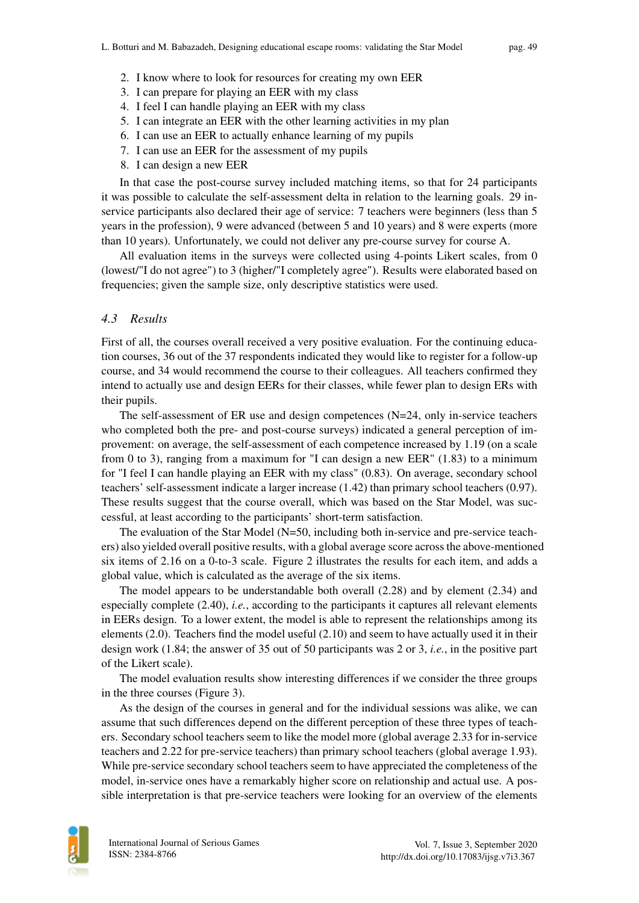- 2. I know where to look for resources for creating my own EER
- 3. I can prepare for playing an EER with my class
- 4. I feel I can handle playing an EER with my class
- 5. I can integrate an EER with the other learning activities in my plan
- 6. I can use an EER to actually enhance learning of my pupils
- 7. I can use an EER for the assessment of my pupils
- 8. I can design a new EER

In that case the post-course survey included matching items, so that for 24 participants it was possible to calculate the self-assessment delta in relation to the learning goals. 29 inservice participants also declared their age of service: 7 teachers were beginners (less than 5 years in the profession), 9 were advanced (between 5 and 10 years) and 8 were experts (more than 10 years). Unfortunately, we could not deliver any pre-course survey for course A.

All evaluation items in the surveys were collected using 4-points Likert scales, from 0 (lowest/"I do not agree") to 3 (higher/"I completely agree"). Results were elaborated based on frequencies; given the sample size, only descriptive statistics were used.

#### *4.3 Results*

First of all, the courses overall received a very positive evaluation. For the continuing education courses, 36 out of the 37 respondents indicated they would like to register for a follow-up course, and 34 would recommend the course to their colleagues. All teachers confirmed they intend to actually use and design EERs for their classes, while fewer plan to design ERs with their pupils.

The self-assessment of ER use and design competences  $(N=24, \text{ only in-service teachers})$ who completed both the pre- and post-course surveys) indicated a general perception of improvement: on average, the self-assessment of each competence increased by 1.19 (on a scale from 0 to 3), ranging from a maximum for "I can design a new EER" (1.83) to a minimum for "I feel I can handle playing an EER with my class" (0.83). On average, secondary school teachers' self-assessment indicate a larger increase (1.42) than primary school teachers (0.97). These results suggest that the course overall, which was based on the Star Model, was successful, at least according to the participants' short-term satisfaction.

The evaluation of the Star Model (N=50, including both in-service and pre-service teachers) also yielded overall positive results, with a global average score across the above-mentioned six items of 2.16 on a 0-to-3 scale. Figure 2 illustrates the results for each item, and adds a global value, which is calculated as the average of the six items.

The model appears to be understandable both overall (2.28) and by element (2.34) and especially complete (2.40), *i.e.*, according to the participants it captures all relevant elements in EERs design. To a lower extent, the model is able to represent the relationships among its elements (2.0). Teachers find the model useful (2.10) and seem to have actually used it in their design work (1.84; the answer of 35 out of 50 participants was 2 or 3, *i.e.*, in the positive part of the Likert scale).

The model evaluation results show interesting differences if we consider the three groups in the three courses (Figure 3).

As the design of the courses in general and for the individual sessions was alike, we can assume that such differences depend on the different perception of these three types of teachers. Secondary school teachers seem to like the model more (global average 2.33 for in-service teachers and 2.22 for pre-service teachers) than primary school teachers (global average 1.93). While pre-service secondary school teachers seem to have appreciated the completeness of the model, in-service ones have a remarkably higher score on relationship and actual use. A possible interpretation is that pre-service teachers were looking for an overview of the elements

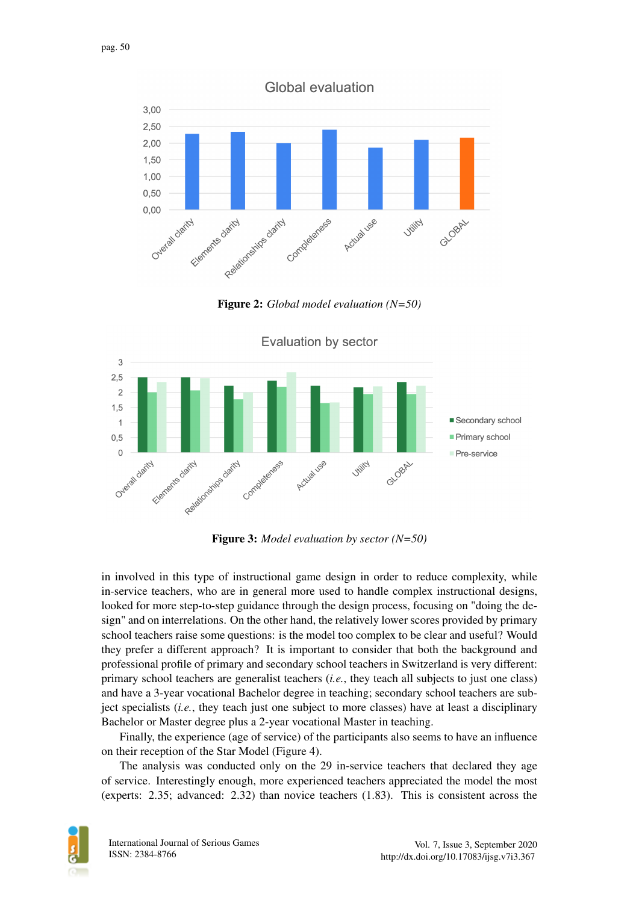

Figure 2: *Global model evaluation (N=50)*



**Evaluation by sector** 

Figure 3: *Model evaluation by sector (N=50)*

in involved in this type of instructional game design in order to reduce complexity, while in-service teachers, who are in general more used to handle complex instructional designs, looked for more step-to-step guidance through the design process, focusing on "doing the design" and on interrelations. On the other hand, the relatively lower scores provided by primary school teachers raise some questions: is the model too complex to be clear and useful? Would they prefer a different approach? It is important to consider that both the background and professional profile of primary and secondary school teachers in Switzerland is very different: primary school teachers are generalist teachers (*i.e.*, they teach all subjects to just one class) and have a 3-year vocational Bachelor degree in teaching; secondary school teachers are subject specialists (*i.e.*, they teach just one subject to more classes) have at least a disciplinary Bachelor or Master degree plus a 2-year vocational Master in teaching.

Finally, the experience (age of service) of the participants also seems to have an influence on their reception of the Star Model (Figure 4).

The analysis was conducted only on the 29 in-service teachers that declared they age of service. Interestingly enough, more experienced teachers appreciated the model the most (experts: 2.35; advanced: 2.32) than novice teachers (1.83). This is consistent across the

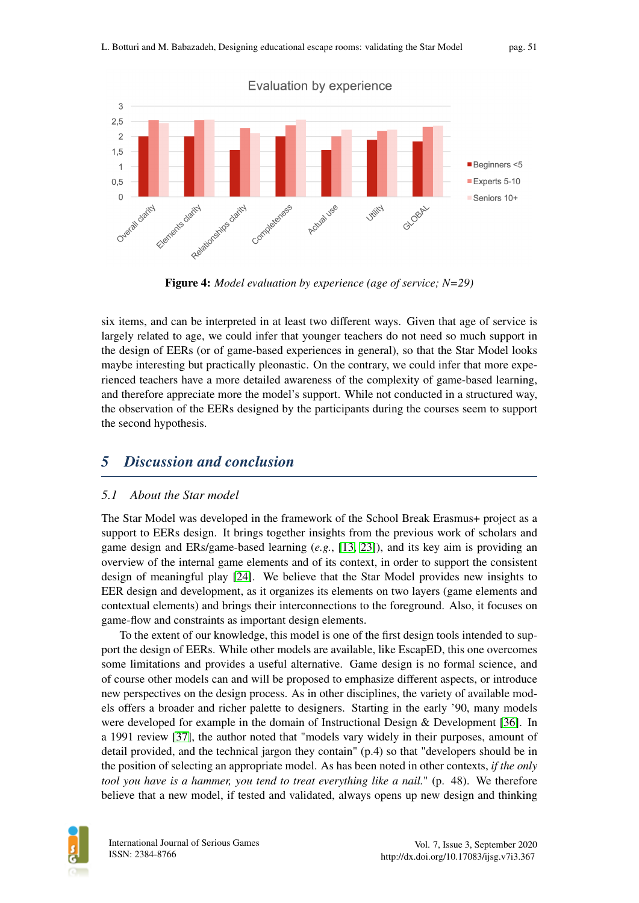

Figure 4: *Model evaluation by experience (age of service; N=29)*

six items, and can be interpreted in at least two different ways. Given that age of service is largely related to age, we could infer that younger teachers do not need so much support in the design of EERs (or of game-based experiences in general), so that the Star Model looks maybe interesting but practically pleonastic. On the contrary, we could infer that more experienced teachers have a more detailed awareness of the complexity of game-based learning, and therefore appreciate more the model's support. While not conducted in a structured way, the observation of the EERs designed by the participants during the courses seem to support the second hypothesis.

## <span id="page-10-0"></span>*5 Discussion and conclusion*

#### *5.1 About the Star model*

The Star Model was developed in the framework of the School Break Erasmus+ project as a support to EERs design. It brings together insights from the previous work of scholars and game design and ERs/game-based learning (*e.g.*, [\[13,](#page-12-12) [23\]](#page-13-6)), and its key aim is providing an overview of the internal game elements and of its context, in order to support the consistent design of meaningful play [\[24\]](#page-13-7). We believe that the Star Model provides new insights to EER design and development, as it organizes its elements on two layers (game elements and contextual elements) and brings their interconnections to the foreground. Also, it focuses on game-flow and constraints as important design elements.

To the extent of our knowledge, this model is one of the first design tools intended to support the design of EERs. While other models are available, like EscapED, this one overcomes some limitations and provides a useful alternative. Game design is no formal science, and of course other models can and will be proposed to emphasize different aspects, or introduce new perspectives on the design process. As in other disciplines, the variety of available models offers a broader and richer palette to designers. Starting in the early '90, many models were developed for example in the domain of Instructional Design & Development [\[36\]](#page-14-1). In a 1991 review [\[37\]](#page-14-2), the author noted that "models vary widely in their purposes, amount of detail provided, and the technical jargon they contain" (p.4) so that "developers should be in the position of selecting an appropriate model. As has been noted in other contexts, *if the only tool you have is a hammer, you tend to treat everything like a nail.*" (p. 48). We therefore believe that a new model, if tested and validated, always opens up new design and thinking

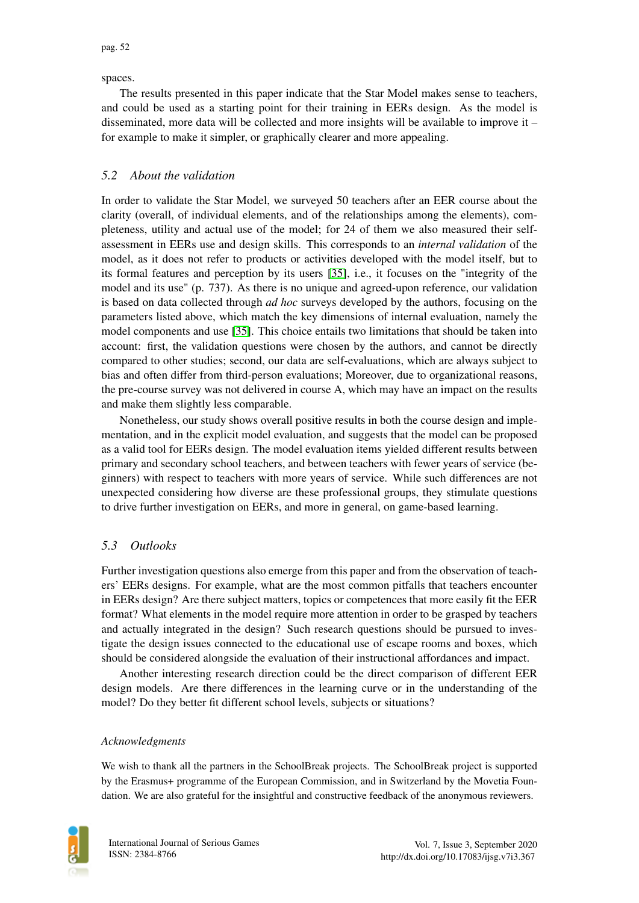spaces.

The results presented in this paper indicate that the Star Model makes sense to teachers, and could be used as a starting point for their training in EERs design. As the model is disseminated, more data will be collected and more insights will be available to improve it – for example to make it simpler, or graphically clearer and more appealing.

#### *5.2 About the validation*

In order to validate the Star Model, we surveyed 50 teachers after an EER course about the clarity (overall, of individual elements, and of the relationships among the elements), completeness, utility and actual use of the model; for 24 of them we also measured their selfassessment in EERs use and design skills. This corresponds to an *internal validation* of the model, as it does not refer to products or activities developed with the model itself, but to its formal features and perception by its users [\[35\]](#page-14-0), i.e., it focuses on the "integrity of the model and its use" (p. 737). As there is no unique and agreed-upon reference, our validation is based on data collected through *ad hoc* surveys developed by the authors, focusing on the parameters listed above, which match the key dimensions of internal evaluation, namely the model components and use [\[35\]](#page-14-0). This choice entails two limitations that should be taken into account: first, the validation questions were chosen by the authors, and cannot be directly compared to other studies; second, our data are self-evaluations, which are always subject to bias and often differ from third-person evaluations; Moreover, due to organizational reasons, the pre-course survey was not delivered in course A, which may have an impact on the results and make them slightly less comparable.

Nonetheless, our study shows overall positive results in both the course design and implementation, and in the explicit model evaluation, and suggests that the model can be proposed as a valid tool for EERs design. The model evaluation items yielded different results between primary and secondary school teachers, and between teachers with fewer years of service (beginners) with respect to teachers with more years of service. While such differences are not unexpected considering how diverse are these professional groups, they stimulate questions to drive further investigation on EERs, and more in general, on game-based learning.

### *5.3 Outlooks*

Further investigation questions also emerge from this paper and from the observation of teachers' EERs designs. For example, what are the most common pitfalls that teachers encounter in EERs design? Are there subject matters, topics or competences that more easily fit the EER format? What elements in the model require more attention in order to be grasped by teachers and actually integrated in the design? Such research questions should be pursued to investigate the design issues connected to the educational use of escape rooms and boxes, which should be considered alongside the evaluation of their instructional affordances and impact.

Another interesting research direction could be the direct comparison of different EER design models. Are there differences in the learning curve or in the understanding of the model? Do they better fit different school levels, subjects or situations?

#### *Acknowledgments*

We wish to thank all the partners in the SchoolBreak projects. The SchoolBreak project is supported by the Erasmus+ programme of the European Commission, and in Switzerland by the Movetia Foundation. We are also grateful for the insightful and constructive feedback of the anonymous reviewers.

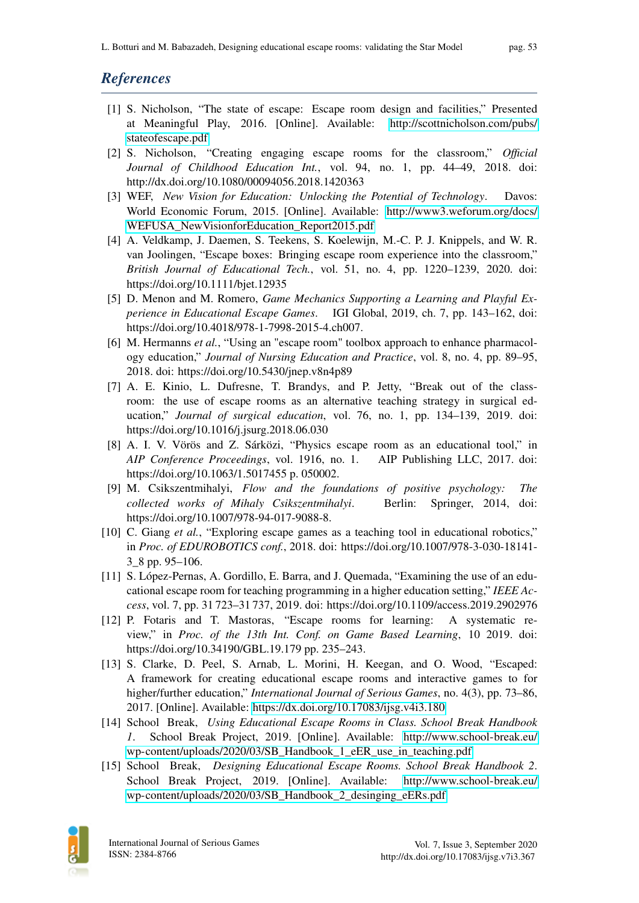## *References*

- <span id="page-12-0"></span>[1] S. Nicholson, "The state of escape: Escape room design and facilities," Presented at Meaningful Play, 2016. [Online]. Available: [http://scottnicholson.com/pubs/](http://scottnicholson.com/pubs/stateofescape.pdf) [stateofescape.pdf](http://scottnicholson.com/pubs/stateofescape.pdf)
- <span id="page-12-1"></span>[2] S. Nicholson, "Creating engaging escape rooms for the classroom," *Official Journal of Childhood Education Int.*, vol. 94, no. 1, pp. 44–49, 2018. doi: http://dx.doi.org/10.1080/00094056.2018.1420363
- <span id="page-12-2"></span>[3] WEF, *New Vision for Education: Unlocking the Potential of Technology*. Davos: World Economic Forum, 2015. [Online]. Available: [http://www3.weforum.org/docs/](http://www3.weforum.org/docs/WEFUSA_NewVisionforEducation_Report2015.pdf) [WEFUSA\\_NewVisionforEducation\\_Report2015.pdf](http://www3.weforum.org/docs/WEFUSA_NewVisionforEducation_Report2015.pdf)
- <span id="page-12-3"></span>[4] A. Veldkamp, J. Daemen, S. Teekens, S. Koelewijn, M.-C. P. J. Knippels, and W. R. van Joolingen, "Escape boxes: Bringing escape room experience into the classroom," *British Journal of Educational Tech.*, vol. 51, no. 4, pp. 1220–1239, 2020. doi: https://doi.org/10.1111/bjet.12935
- <span id="page-12-4"></span>[5] D. Menon and M. Romero, *Game Mechanics Supporting a Learning and Playful Experience in Educational Escape Games*. IGI Global, 2019, ch. 7, pp. 143–162, doi: https://doi.org/10.4018/978-1-7998-2015-4.ch007.
- <span id="page-12-5"></span>[6] M. Hermanns *et al.*, "Using an "escape room" toolbox approach to enhance pharmacology education," *Journal of Nursing Education and Practice*, vol. 8, no. 4, pp. 89–95, 2018. doi: https://doi.org/10.5430/jnep.v8n4p89
- <span id="page-12-6"></span>[7] A. E. Kinio, L. Dufresne, T. Brandys, and P. Jetty, "Break out of the classroom: the use of escape rooms as an alternative teaching strategy in surgical education," *Journal of surgical education*, vol. 76, no. 1, pp. 134–139, 2019. doi: https://doi.org/10.1016/j.jsurg.2018.06.030
- <span id="page-12-7"></span>[8] A. I. V. Vörös and Z. Sárközi, "Physics escape room as an educational tool," in *AIP Conference Proceedings*, vol. 1916, no. 1. AIP Publishing LLC, 2017. doi: https://doi.org/10.1063/1.5017455 p. 050002.
- <span id="page-12-8"></span>[9] M. Csikszentmihalyi, *Flow and the foundations of positive psychology: The collected works of Mihaly Csikszentmihalyi*. Berlin: Springer, 2014, doi: https://doi.org/10.1007/978-94-017-9088-8.
- <span id="page-12-9"></span>[10] C. Giang *et al.*, "Exploring escape games as a teaching tool in educational robotics," in *Proc. of EDUROBOTICS conf.*, 2018. doi: https://doi.org/10.1007/978-3-030-18141- 3\_8 pp. 95–106.
- <span id="page-12-10"></span>[11] S. López-Pernas, A. Gordillo, E. Barra, and J. Quemada, "Examining the use of an educational escape room for teaching programming in a higher education setting," *IEEE Access*, vol. 7, pp. 31 723–31 737, 2019. doi: https://doi.org/10.1109/access.2019.2902976
- <span id="page-12-11"></span>[12] P. Fotaris and T. Mastoras, "Escape rooms for learning: A systematic review," in *Proc. of the 13th Int. Conf. on Game Based Learning*, 10 2019. doi: https://doi.org/10.34190/GBL.19.179 pp. 235–243.
- <span id="page-12-12"></span>[13] S. Clarke, D. Peel, S. Arnab, L. Morini, H. Keegan, and O. Wood, "Escaped: A framework for creating educational escape rooms and interactive games to for higher/further education," *International Journal of Serious Games*, no. 4(3), pp. 73–86, 2017. [Online]. Available:<https://dx.doi.org/10.17083/ijsg.v4i3.180>
- <span id="page-12-13"></span>[14] School Break, *Using Educational Escape Rooms in Class. School Break Handbook 1*. School Break Project, 2019. [Online]. Available: [http://www.school-break.eu/](http://www.school-break.eu/wp-content/uploads/2020/03/SB_Handbook_1_eER_use_in_teaching.pdf) [wp-content/uploads/2020/03/SB\\_Handbook\\_1\\_eER\\_use\\_in\\_teaching.pdf](http://www.school-break.eu/wp-content/uploads/2020/03/SB_Handbook_1_eER_use_in_teaching.pdf)
- <span id="page-12-14"></span>[15] School Break, *Designing Educational Escape Rooms. School Break Handbook 2*. School Break Project, 2019. [Online]. Available: [http://www.school-break.eu/](http://www.school-break.eu/wp-content/uploads/2020/03/SB_Handbook_2_desinging_eERs.pdf) [wp-content/uploads/2020/03/SB\\_Handbook\\_2\\_desinging\\_eERs.pdf](http://www.school-break.eu/wp-content/uploads/2020/03/SB_Handbook_2_desinging_eERs.pdf)

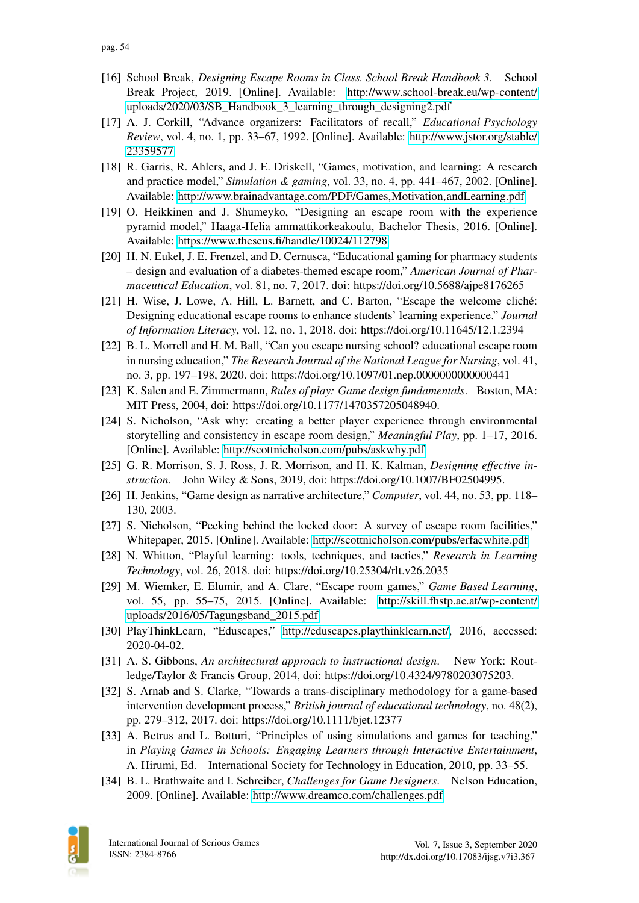- <span id="page-13-0"></span>[16] School Break, *Designing Escape Rooms in Class. School Break Handbook 3*. School Break Project, 2019. [Online]. Available: [http://www.school-break.eu/wp-content/](http://www.school-break.eu/wp-content/uploads/2020/03/SB_Handbook_3_learning_through_designing2.pdf) [uploads/2020/03/SB\\_Handbook\\_3\\_learning\\_through\\_designing2.pdf](http://www.school-break.eu/wp-content/uploads/2020/03/SB_Handbook_3_learning_through_designing2.pdf)
- <span id="page-13-1"></span>[17] A. J. Corkill, "Advance organizers: Facilitators of recall," *Educational Psychology Review*, vol. 4, no. 1, pp. 33–67, 1992. [Online]. Available: [http://www.jstor.org/stable/](http://www.jstor.org/stable/23359577) [23359577](http://www.jstor.org/stable/23359577)
- <span id="page-13-2"></span>[18] R. Garris, R. Ahlers, and J. E. Driskell, "Games, motivation, and learning: A research and practice model," *Simulation & gaming*, vol. 33, no. 4, pp. 441–467, 2002. [Online]. Available: [http://www.brainadvantage.com/PDF/Games,Motivation,andLearning.pdf](http://www.brainadvantage.com/PDF/Games, Motivation, and Learning.pdf)
- <span id="page-13-3"></span>[19] O. Heikkinen and J. Shumeyko, "Designing an escape room with the experience pyramid model," Haaga-Helia ammattikorkeakoulu, Bachelor Thesis, 2016. [Online]. Available:<https://www.theseus.fi/handle/10024/112798>
- <span id="page-13-4"></span>[20] H. N. Eukel, J. E. Frenzel, and D. Cernusca, "Educational gaming for pharmacy students – design and evaluation of a diabetes-themed escape room," *American Journal of Pharmaceutical Education*, vol. 81, no. 7, 2017. doi: https://doi.org/10.5688/ajpe8176265
- [21] H. Wise, J. Lowe, A. Hill, L. Barnett, and C. Barton, "Escape the welcome cliché: Designing educational escape rooms to enhance students' learning experience." *Journal of Information Literacy*, vol. 12, no. 1, 2018. doi: https://doi.org/10.11645/12.1.2394
- <span id="page-13-5"></span>[22] B. L. Morrell and H. M. Ball, "Can you escape nursing school? educational escape room in nursing education," *The Research Journal of the National League for Nursing*, vol. 41, no. 3, pp. 197–198, 2020. doi: https://doi.org/10.1097/01.nep.0000000000000441
- <span id="page-13-6"></span>[23] K. Salen and E. Zimmermann, *Rules of play: Game design fundamentals*. Boston, MA: MIT Press, 2004, doi: https://doi.org/10.1177/1470357205048940.
- <span id="page-13-7"></span>[24] S. Nicholson, "Ask why: creating a better player experience through environmental storytelling and consistency in escape room design," *Meaningful Play*, pp. 1–17, 2016. [Online]. Available:<http://scottnicholson.com/pubs/askwhy.pdf>
- <span id="page-13-8"></span>[25] G. R. Morrison, S. J. Ross, J. R. Morrison, and H. K. Kalman, *Designing effective instruction*. John Wiley & Sons, 2019, doi: https://doi.org/10.1007/BF02504995.
- <span id="page-13-9"></span>[26] H. Jenkins, "Game design as narrative architecture," *Computer*, vol. 44, no. 53, pp. 118– 130, 2003.
- <span id="page-13-10"></span>[27] S. Nicholson, "Peeking behind the locked door: A survey of escape room facilities," Whitepaper, 2015. [Online]. Available:<http://scottnicholson.com/pubs/erfacwhite.pdf>
- <span id="page-13-11"></span>[28] N. Whitton, "Playful learning: tools, techniques, and tactics," *Research in Learning Technology*, vol. 26, 2018. doi: https://doi.org/10.25304/rlt.v26.2035
- <span id="page-13-12"></span>[29] M. Wiemker, E. Elumir, and A. Clare, "Escape room games," *Game Based Learning*, vol. 55, pp. 55–75, 2015. [Online]. Available: [http://skill.fhstp.ac.at/wp-content/](http://skill.fhstp.ac.at/wp-content/uploads/2016/05/Tagungsband_2015.pdf) [uploads/2016/05/Tagungsband\\_2015.pdf](http://skill.fhstp.ac.at/wp-content/uploads/2016/05/Tagungsband_2015.pdf)
- <span id="page-13-13"></span>[30] PlayThinkLearn, "Eduscapes," [http://eduscapes.playthinklearn.net/,](http://eduscapes.playthinklearn.net/) 2016, accessed: 2020-04-02.
- <span id="page-13-14"></span>[31] A. S. Gibbons, *An architectural approach to instructional design*. New York: Routledge/Taylor & Francis Group, 2014, doi: https://doi.org/10.4324/9780203075203.
- <span id="page-13-15"></span>[32] S. Arnab and S. Clarke, "Towards a trans-disciplinary methodology for a game-based intervention development process," *British journal of educational technology*, no. 48(2), pp. 279–312, 2017. doi: https://doi.org/10.1111/bjet.12377
- <span id="page-13-16"></span>[33] A. Betrus and L. Botturi, "Principles of using simulations and games for teaching," in *Playing Games in Schools: Engaging Learners through Interactive Entertainment*, A. Hirumi, Ed. International Society for Technology in Education, 2010, pp. 33–55.
- <span id="page-13-17"></span>[34] B. L. Brathwaite and I. Schreiber, *Challenges for Game Designers*. Nelson Education, 2009. [Online]. Available:<http://www.dreamco.com/challenges.pdf>

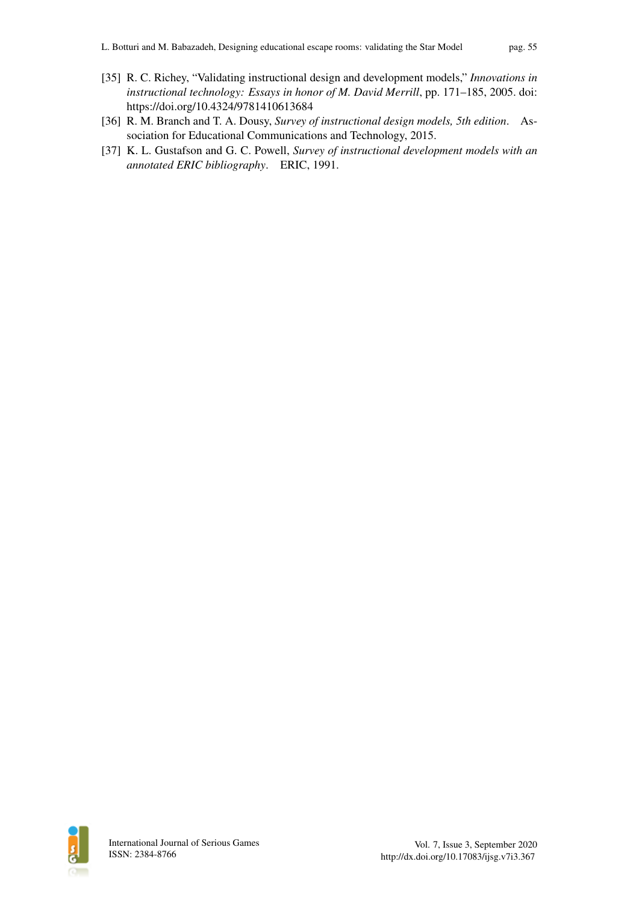- <span id="page-14-0"></span>[35] R. C. Richey, "Validating instructional design and development models," *Innovations in instructional technology: Essays in honor of M. David Merrill*, pp. 171–185, 2005. doi: https://doi.org/10.4324/9781410613684
- <span id="page-14-1"></span>[36] R. M. Branch and T. A. Dousy, *Survey of instructional design models, 5th edition*. Association for Educational Communications and Technology, 2015.
- <span id="page-14-2"></span>[37] K. L. Gustafson and G. C. Powell, *Survey of instructional development models with an annotated ERIC bibliography*. ERIC, 1991.

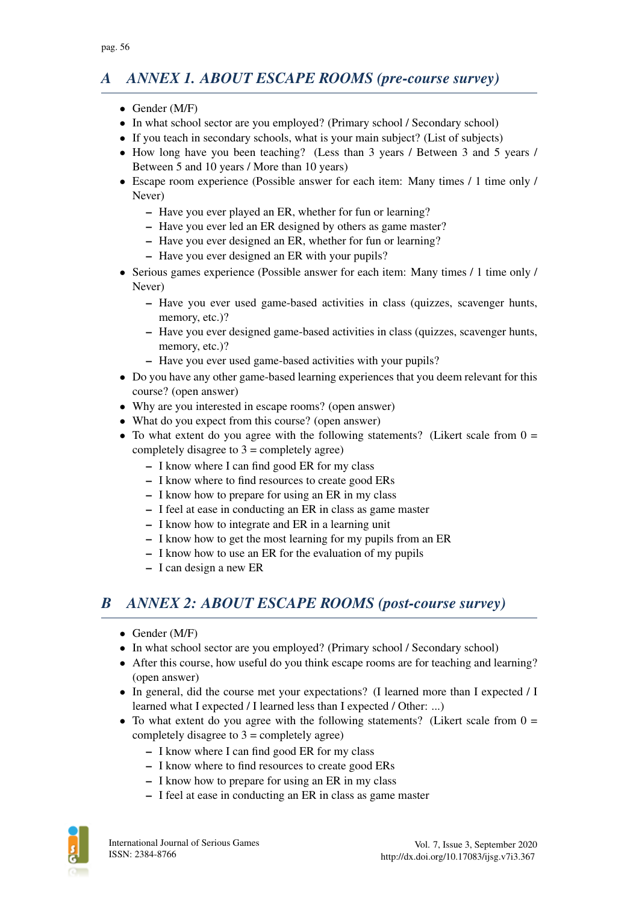## *A ANNEX 1. ABOUT ESCAPE ROOMS (pre-course survey)*

- Gender (M/F)
- In what school sector are you employed? (Primary school / Secondary school)
- If you teach in secondary schools, what is your main subject? (List of subjects)
- How long have you been teaching? (Less than 3 years / Between 3 and 5 years / Between 5 and 10 years / More than 10 years)
- Escape room experience (Possible answer for each item: Many times / 1 time only / Never)
	- Have you ever played an ER, whether for fun or learning?
	- Have you ever led an ER designed by others as game master?
	- Have you ever designed an ER, whether for fun or learning?
	- Have you ever designed an ER with your pupils?
- Serious games experience (Possible answer for each item: Many times / 1 time only / Never)
	- Have you ever used game-based activities in class (quizzes, scavenger hunts, memory, etc.)?
	- Have you ever designed game-based activities in class (quizzes, scavenger hunts, memory, etc.)?
	- Have you ever used game-based activities with your pupils?
- Do you have any other game-based learning experiences that you deem relevant for this course? (open answer)
- Why are you interested in escape rooms? (open answer)
- What do you expect from this course? (open answer)
- To what extent do you agree with the following statements? (Likert scale from  $0 =$ completely disagree to  $3 =$  completely agree)
	- I know where I can find good ER for my class
	- I know where to find resources to create good ERs
	- I know how to prepare for using an ER in my class
	- I feel at ease in conducting an ER in class as game master
	- I know how to integrate and ER in a learning unit
	- I know how to get the most learning for my pupils from an ER
	- I know how to use an ER for the evaluation of my pupils
	- I can design a new ER

## *B ANNEX 2: ABOUT ESCAPE ROOMS (post-course survey)*

- Gender (M/F)
- In what school sector are you employed? (Primary school / Secondary school)
- After this course, how useful do you think escape rooms are for teaching and learning? (open answer)
- In general, did the course met your expectations? (I learned more than I expected / I learned what I expected / I learned less than I expected / Other: ...)
- To what extent do you agree with the following statements? (Likert scale from  $0 =$ completely disagree to  $3 =$  completely agree)
	- I know where I can find good ER for my class
	- I know where to find resources to create good ERs
	- I know how to prepare for using an ER in my class
	- I feel at ease in conducting an ER in class as game master